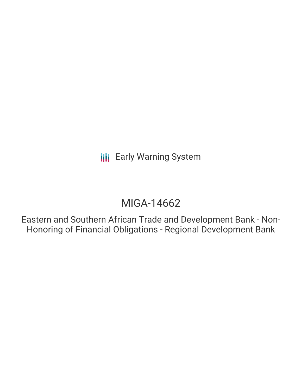**III** Early Warning System

# MIGA-14662

Eastern and Southern African Trade and Development Bank - Non-Honoring of Financial Obligations - Regional Development Bank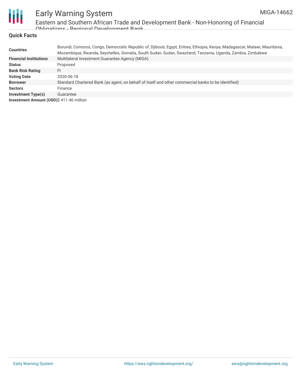

# Early Warning System

Eastern and Southern African Trade and Development Bank - Non-Honoring of Financial Obligations - Regional Development Bank

#### **Quick Facts**

| <b>Countries</b>                        | Burundi, Comoros, Congo, Democratic Republic of, Djibouti, Egypt, Eritrea, Ethiopia, Kenya, Madagascar, Malawi, Mauritania,<br>Mozambigue, Rwanda, Seychelles, Somalia, South Sudan, Sudan, Swaziland, Tanzania, Uganda, Zambia, Zimbabwe |
|-----------------------------------------|-------------------------------------------------------------------------------------------------------------------------------------------------------------------------------------------------------------------------------------------|
| <b>Financial Institutions</b>           | Multilateral Investment Guarantee Agency (MIGA)                                                                                                                                                                                           |
| <b>Status</b>                           | Proposed                                                                                                                                                                                                                                  |
| <b>Bank Risk Rating</b>                 | FI                                                                                                                                                                                                                                        |
| <b>Voting Date</b>                      | 2020-06-18                                                                                                                                                                                                                                |
| <b>Borrower</b>                         | Standard Chartered Bank (as agent, on behalf of itself and other commercial banks to be identified)                                                                                                                                       |
| <b>Sectors</b>                          | Finance                                                                                                                                                                                                                                   |
| <b>Investment Type(s)</b>               | Guarantee                                                                                                                                                                                                                                 |
| Investment Amount (USD)\$411.46 million |                                                                                                                                                                                                                                           |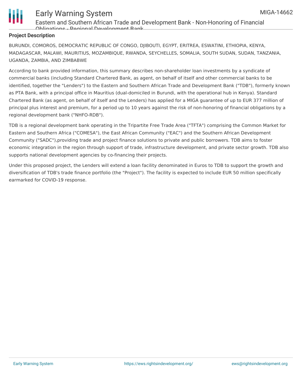

### Early Warning System

Eastern and Southern African Trade and Development Bank - Non-Honoring of Financial Obligations - Regional Development Bank

#### **Project Description**

BURUNDI, COMOROS, DEMOCRATIC REPUBLIC OF CONGO, DJIBOUTI, EGYPT, ERITREA, ESWATINI, ETHIOPIA, KENYA, MADAGASCAR, MALAWI, MAURITIUS, MOZAMBIQUE, RWANDA, SEYCHELLES, SOMALIA, SOUTH SUDAN, SUDAN, TANZANIA, UGANDA, ZAMBIA, AND ZIMBABWE

According to bank provided information, this summary describes non-shareholder loan investments by a syndicate of commercial banks (including Standard Chartered Bank, as agent, on behalf of itself and other commercial banks to be identified, together the "Lenders") to the Eastern and Southern African Trade and Development Bank ("TDB"), formerly known as PTA Bank, with a principal office in Mauritius (dual-domiciled in Burundi, with the operational hub in Kenya). Standard Chartered Bank (as agent, on behalf of itself and the Lenders) has applied for a MIGA guarantee of up to EUR 377 million of principal plus interest and premium, for a period up to 10 years against the risk of non-honoring of financial obligations by a regional development bank ("NHFO-RDB").

TDB is a regional development bank operating in the Tripartite Free Trade Area ("TFTA") comprising the Common Market for Eastern and Southern Africa ("COMESA"), the East African Community ("EAC") and the Southern African Development Community ("SADC"),providing trade and project finance solutions to private and public borrowers. TDB aims to foster economic integration in the region through support of trade, infrastructure development, and private sector growth. TDB also supports national development agencies by co-financing their projects.

Under this proposed project, the Lenders will extend a loan facility denominated in Euros to TDB to support the growth and diversification of TDB's trade finance portfolio (the "Project"). The facility is expected to include EUR 50 million specifically earmarked for COVID-19 response.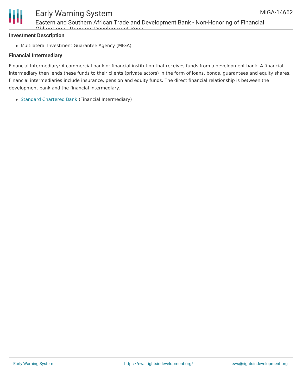

## Early Warning System

Eastern and Southern African Trade and Development Bank - Non-Honoring of Financial Obligations - Regional Development Bank

#### **Investment Description**

Multilateral Investment Guarantee Agency (MIGA)

#### **Financial Intermediary**

Financial Intermediary: A commercial bank or financial institution that receives funds from a development bank. A financial intermediary then lends these funds to their clients (private actors) in the form of loans, bonds, guarantees and equity shares. Financial intermediaries include insurance, pension and equity funds. The direct financial relationship is between the development bank and the financial intermediary.

Standard [Chartered](file:///actor/1112/) Bank (Financial Intermediary)